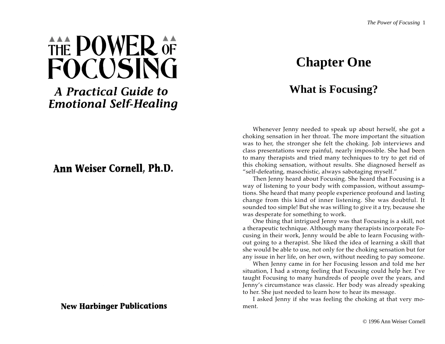## **Chapter One**

## **What is Focusing?**

Whenever Jenny needed to speak up about herself, she got a choking sensation in her throat. The more important the situation was to her, the stronger she felt the choking. Job interviews and class presentations were painful, nearly impossible. She had been to many therapists and tried many techniques to try to get rid of this choking sensation, without results. She diagnosed herself as "self-defeating, masochistic, always sabotaging myself."

Then Jenny heard about Focusing. She heard that Focusing is a way of listening to your body with compassion, without assumptions. She heard that many people experience profound and lasting change from this kind of inner listening. She was doubtful. It sounded too simple! But she was willing to give it a try, because she was desperate for something to work.

One thing that intrigued Jenny was that Focusing is a skill, not a therapeutic technique. Although many therapists incorporate Focusing in their work, Jenny would be able to learn Focusing without going to a therapist. She liked the idea of learning a skill that she would be able to use, not only for the choking sensation but for any issue in her life, on her own, without needing to pay someone.

When Jenny came in for her Focusing lesson and told me her situation, I had a strong feeling that Focusing could help her. I've taught Focusing to many hundreds of people over the years, and Jenny's circumstance was classic. Her body was already speaking to her. She just needed to learn how to hear its message.

I asked Jenny if she was feeling the choking at that very moment.

# THE POWER OF **FOCUSING**

## A Practical Guide to **Emotional Self-Healing**

### Ann Weiser Cornell, Ph.D.

#### **New Harbinger Publications**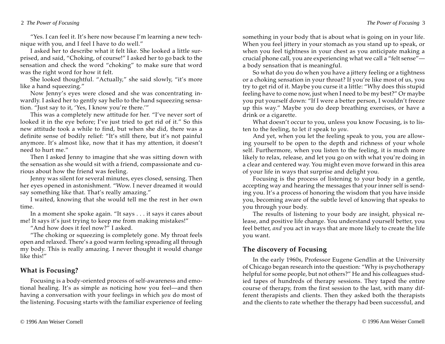"Yes. I can feel it. It's here now because I'm learning a new technique with you, and I feel I have to do well."

I asked her to describe what it felt like. She looked a little surprised, and said, "Choking, of course!" I asked her to go back to the sensation and check the word "choking" to make sure that word was the right word for how it felt.

She looked thoughtful. "Actually," she said slowly, "it's more like a hand squeezing."

Now Jenny's eyes were closed and she was concentrating inwardly. I asked her to gently say hello to the hand squeezing sensation. "Just say to it, 'Yes, I know you're there.'"

This was a completely new attitude for her. "I've never sort of looked it in the eye before; I've just tried to get rid of it." So this new attitude took a while to find, but when she did, there was a definite sense of bodily relief: "It's still there, but it's not painful anymore. It's almost like, now that it has my attention, it doesn't need to hurt me."

Then I asked Jenny to imagine that she was sitting down with the sensation as she would sit with a friend, compassionate and curious about how the friend was feeling.

Jenny was silent for several minutes, eyes closed, sensing. Then her eyes opened in astonishment. "Wow. I never dreamed it would say something like that. That's really amazing."

I waited, knowing that she would tell me the rest in her own time.

In a moment she spoke again. "It says . . . it says it cares about me! It says it's just trying to keep me from making mistakes!"

"And how does it feel now?" I asked.

"The choking or squeezing is completely gone. My throat feels open and relaxed. There's a good warm feeling spreading all through my body. This is really amazing. I never thought it would change like this!"

#### **What is Focusing?**

Focusing is a body-oriented process of self-awareness and emotional healing. It's as simple as noticing how you feel—and then having a conversation with your feelings in which *you* do most of the listening. Focusing starts with the familiar experience of feeling something in your body that is about what is going on in your life. When you feel jittery in your stomach as you stand up to speak, or when you feel tightness in your chest as you anticipate making a crucial phone call, you are experiencing what we call a "felt sense" a body sensation that is meaningful.

So what do you do when you have a jittery feeling or a tightness or a choking sensation in your throat? If you're like most of us, you try to get rid of it. Maybe you curse it a little: "Why does this stupid feeling have to come now, just when I need to be my best?" Or maybe you put yourself down: "If I were a better person, I wouldn't freeze up this way." Maybe you do deep breathing exercises, or have a drink or a cigarette.

What doesn't occur to you, unless you know Focusing, is to listen to the feeling, to let *it* speak to *you*.

And yet, when you let the feeling speak to you, you are allowing yourself to be open to the depth and richness of your whole self. Furthermore, when you listen to the feeling, it is much more likely to relax, release, and let you go on with what you're doing in a clear and centered way. You might even move forward in this area of your life in ways that surprise and delight you.

Focusing is the process of listening to your body in a gentle, accepting way and hearing the messages that your inner self is sending you. It's a process of honoring the wisdom that you have inside you, becoming aware of the subtle level of knowing that speaks to you through your body.

The results of listening to your body are insight, physical release, and positive life change. You understand yourself better, you feel better, *and* you act in ways that are more likely to create the life you want.

#### **The discovery of Focusing**

In the early 1960s, Professor Eugene Gendlin at the University of Chicago began research into the question: "Why is psychotherapy helpful for some people, but not others?" He and his colleagues studied tapes of hundreds of therapy sessions. They taped the entire course of therapy, from the first session to the last, with many different therapists and clients. Then they asked both the therapists and the clients to rate whether the therapy had been successful, and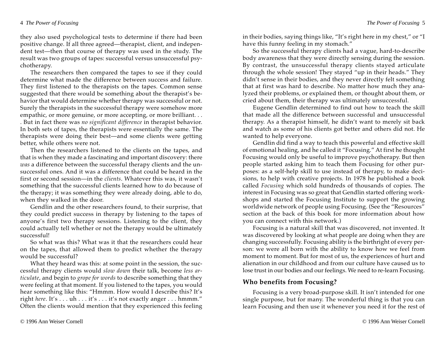they also used psychological tests to determine if there had been positive change. If all three agreed—therapist, client, and independent test—then that course of therapy was used in the study. The result was two groups of tapes: successful versus unsuccessful psychotherapy.

The researchers then compared the tapes to see if they could determine what made the difference between success and failure. They first listened to the therapists on the tapes. Common sense suggested that there would be something about the therapist's behavior that would determine whether therapy was successful or not. Surely the therapists in the successful therapy were somehow more empathic, or more genuine, or more accepting, or more brilliant... . But in fact there was *no significant difference* in therapist behavior. In both sets of tapes, the therapists were essentially the same. The therapists were doing their best—and some clients were getting better, while others were not.

Then the researchers listened to the clients on the tapes, and that is when they made a fascinating and important discovery: there *was* a difference between the successful therapy clients and the unsuccessful ones. And it was a difference that could be heard in the first or second session—in the *clients*. Whatever this was, it wasn't something that the successful clients learned how to do because of the therapy; it was something they were already doing, able to do, when they walked in the door.

Gendlin and the other researchers found, to their surprise, that they could predict success in therapy by listening to the tapes of anyone's first two therapy sessions. Listening to the client, they could actually tell whether or not the therapy would be ultimately successful!

So what was this? What was it that the researchers could hear on the tapes, that allowed them to predict whether the therapy would be successful?

What they heard was this: at some point in the session, the successful therapy clients would *slow down* their talk, become *less articulate*, and begin to *grope for words* to describe something that they were feeling at that moment. If you listened to the tapes, you would hear something like this: "Hmmm. How would I describe this? It's right *here*. It's . . . uh . . . it's . . . it's not exactly anger . . . hmmm." Often the clients would mention that they experienced this feeling in their bodies, saying things like, "It's right here in my chest," or "I have this funny feeling in my stomach."

So the successful therapy clients had a vague, hard-to-describe body awareness that they were directly sensing during the session. By contrast, the unsuccessful therapy clients stayed articulate through the whole session! They stayed "up in their heads." They didn't sense in their bodies, and they never directly felt something that at first was hard to describe. No matter how much they analyzed their problems, or explained them, or thought about them, or cried about them, their therapy was ultimately unsuccessful.

Eugene Gendlin determined to find out how to teach the skill that made all the difference between successful and unsuccessful therapy. As a therapist himself, he didn't want to merely sit back and watch as some of his clients got better and others did not. He wanted to help everyone.

Gendlin did find a way to teach this powerful and effective skill of emotional healing, and he called it "Focusing." At first he thought Focusing would only be useful to improve psychotherapy. But then people started asking him to teach them Focusing for other purposes: as a self-help skill to use instead of therapy, to make decisions, to help with creative projects. In 1978 he published a book called *Focusing* which sold hundreds of thousands of copies. The interest in Focusing was so great that Gendlin started offering workshops and started the Focusing Institute to support the growing worldwide network of people using Focusing. (See the "Resources" section at the back of this book for more information about how you can connect with this network.)

Focusing is a natural skill that was discovered, not invented. It was discovered by looking at what people are doing when they are changing successfully. Focusing ability is the birthright of every person: we were all born with the ability to know how we feel from moment to moment. But for most of us, the experiences of hurt and alienation in our childhood and from our culture have caused us to lose trust in our bodies and our feelings. We need to re-learn Focusing.

#### **Who benefits from Focusing?**

Focusing is a very broad-purpose skill. It isn't intended for one single purpose, but for many. The wonderful thing is that you can learn Focusing and then use it whenever you need it for the rest of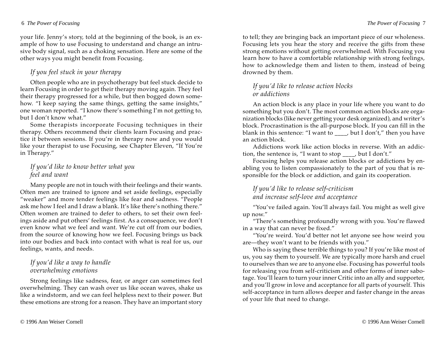your life. Jenny's story, told at the beginning of the book, is an example of how to use Focusing to understand and change an intrusive body signal, such as a choking sensation. Here are some of the other ways you might benefit from Focusing.

#### *If you feel stuck in your therapy*

Often people who are in psychotherapy but feel stuck decide to learn Focusing in order to get their therapy moving again. They feel their therapy progressed for a while, but then bogged down somehow. "I keep saying the same things, getting the same insights," one woman reported. "I know there's something I'm not getting to, but I don't know what."

Some therapists incorporate Focusing techniques in their therapy. Others recommend their clients learn Focusing and practice it between sessions. If you're in therapy now and you would like your therapist to use Focusing, see Chapter Eleven, "If You're in Therapy."

#### *If you'd like to know better what you feel and want*

Many people are not in touch with their feelings and their wants. Often men are trained to ignore and set aside feelings, especially "weaker" and more tender feelings like fear and sadness. "People ask me how I feel and I draw a blank. It's like there's nothing there." Often women are trained to defer to others, to set their own feelings aside and put others' feelings first. As a consequence, we don't even know what we feel and want. We're cut off from our bodies, from the source of knowing how we feel. Focusing brings us back into our bodies and back into contact with what is real for us, our feelings, wants, and needs.

#### *If you'd like a way to handle overwhelming emotions*

Strong feelings like sadness, fear, or anger can sometimes feel overwhelming. They can wash over us like ocean waves, shake us like a windstorm, and we can feel helpless next to their power. But these emotions are strong for a reason. They have an important story

to tell; they are bringing back an important piece of our wholeness. Focusing lets you hear the story and receive the gifts from these strong emotions without getting overwhelmed. With Focusing you learn how to have a comfortable relationship with strong feelings, how to acknowledge them and listen to them, instead of being drowned by them.

#### *If you'd like to release action blocks or addictions*

An action block is any place in your life where you want to do something but you don't. The most common action blocks are organization blocks (like never getting your desk organized), and writer's block. Procrastination is the all-purpose block. If you can fill in the blank in this sentence: "I want to \_\_\_\_, but I don't," then you have an action block.

Addictions work like action blocks in reverse. With an addiction, the sentence is, "I want to stop \_\_\_\_, but I don't."

Focusing helps you release action blocks or addictions by enabling you to listen compassionately to the part of you that is responsible for the block or addiction, and gain its cooperation.

#### *If you'd like to release self-criticism and increase self-love and acceptance*

"You've failed again. You'll always fail. You might as well give up now."

"There's something profoundly wrong with you. You're flawed in a way that can never be fixed."

"You're weird. You'd better not let anyone see how weird you are—they won't want to be friends with you."

Who is saying these terrible things to you? If you're like most of us, you say them to yourself. We are typically more harsh and cruel to ourselves than we are to anyone else. Focusing has powerful tools for releasing you from self-criticism and other forms of inner sabotage. You'll learn to turn your inner Critic into an ally and supporter, and you'll grow in love and acceptance for all parts of yourself. This self-acceptance in turn allows deeper and faster change in the areas of your life that need to change.